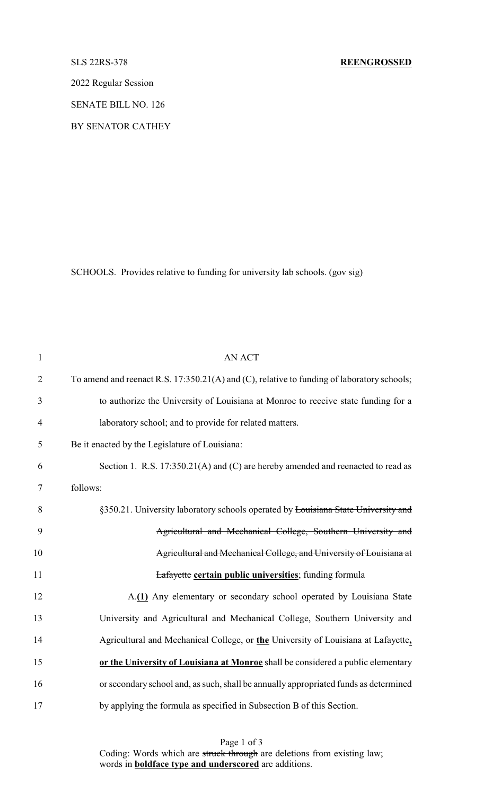2022 Regular Session

SENATE BILL NO. 126

BY SENATOR CATHEY

SCHOOLS. Provides relative to funding for university lab schools. (gov sig)

| $\mathbf{1}$   | <b>AN ACT</b>                                                                              |
|----------------|--------------------------------------------------------------------------------------------|
| $\overline{2}$ | To amend and reenact R.S. 17:350.21(A) and (C), relative to funding of laboratory schools; |
| 3              | to authorize the University of Louisiana at Monroe to receive state funding for a          |
| $\overline{4}$ | laboratory school; and to provide for related matters.                                     |
| 5              | Be it enacted by the Legislature of Louisiana:                                             |
| 6              | Section 1. R.S. 17:350.21(A) and (C) are hereby amended and reenacted to read as           |
| $\tau$         | follows:                                                                                   |
| 8              | §350.21. University laboratory schools operated by Louisiana State University and          |
| 9              | Agricultural and Mechanical College, Southern University and                               |
| 10             | Agricultural and Mechanical College, and University of Louisiana at                        |
| 11             | <b>Lafayette certain public universities</b> ; funding formula                             |
| 12             | A.(1) Any elementary or secondary school operated by Louisiana State                       |
| 13             | University and Agricultural and Mechanical College, Southern University and                |
| 14             | Agricultural and Mechanical College, or the University of Louisiana at Lafayette,          |
| 15             | or the University of Louisiana at Monroe shall be considered a public elementary           |
| 16             | or secondary school and, as such, shall be annually appropriated funds as determined       |
| 17             | by applying the formula as specified in Subsection B of this Section.                      |

Page 1 of 3 Coding: Words which are struck through are deletions from existing law; words in **boldface type and underscored** are additions.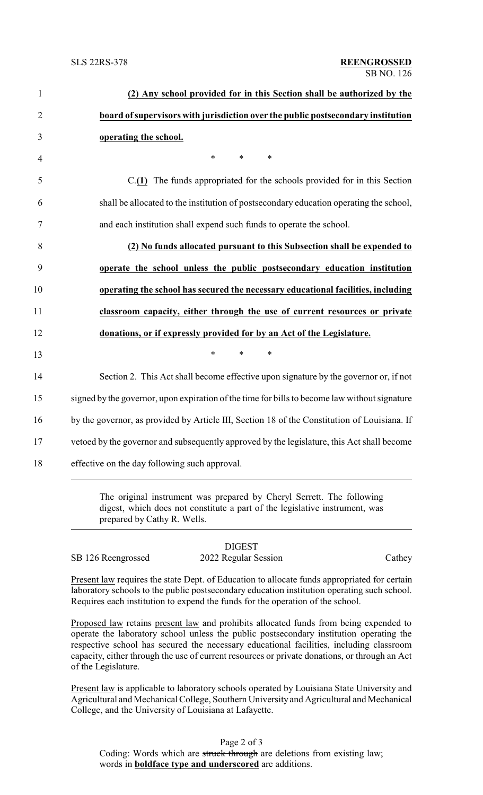| (2) Any school provided for in this Section shall be authorized by the                        |  |
|-----------------------------------------------------------------------------------------------|--|
| board of supervisors with jurisdiction over the public postsecondary institution              |  |
| operating the school.                                                                         |  |
| $\ast$<br>$\ast$<br>$\ast$                                                                    |  |
| $C(1)$ The funds appropriated for the schools provided for in this Section                    |  |
| shall be allocated to the institution of postsecondary education operating the school,        |  |
| and each institution shall expend such funds to operate the school.                           |  |
| (2) No funds allocated pursuant to this Subsection shall be expended to                       |  |
| operate the school unless the public postsecondary education institution                      |  |
| operating the school has secured the necessary educational facilities, including              |  |
|                                                                                               |  |
| classroom capacity, either through the use of current resources or private                    |  |
| donations, or if expressly provided for by an Act of the Legislature.                         |  |
| $\ast$<br>$\ast$<br>$\ast$                                                                    |  |
| Section 2. This Act shall become effective upon signature by the governor or, if not          |  |
| signed by the governor, upon expiration of the time for bills to become law without signature |  |
| by the governor, as provided by Article III, Section 18 of the Constitution of Louisiana. If  |  |
| vetoed by the governor and subsequently approved by the legislature, this Act shall become    |  |

digest, which does not constitute a part of the legislative instrument, was prepared by Cathy R. Wells.

|                    | <b>DIGEST</b>        |        |
|--------------------|----------------------|--------|
| SB 126 Reengrossed | 2022 Regular Session | Cathey |

Present law requires the state Dept. of Education to allocate funds appropriated for certain laboratory schools to the public postsecondary education institution operating such school. Requires each institution to expend the funds for the operation of the school.

Proposed law retains present law and prohibits allocated funds from being expended to operate the laboratory school unless the public postsecondary institution operating the respective school has secured the necessary educational facilities, including classroom capacity, either through the use of current resources or private donations, or through an Act of the Legislature.

Present law is applicable to laboratory schools operated by Louisiana State University and Agricultural and Mechanical College, Southern University and Agricultural and Mechanical College, and the University of Louisiana at Lafayette.

Page 2 of 3 Coding: Words which are struck through are deletions from existing law; words in **boldface type and underscored** are additions.